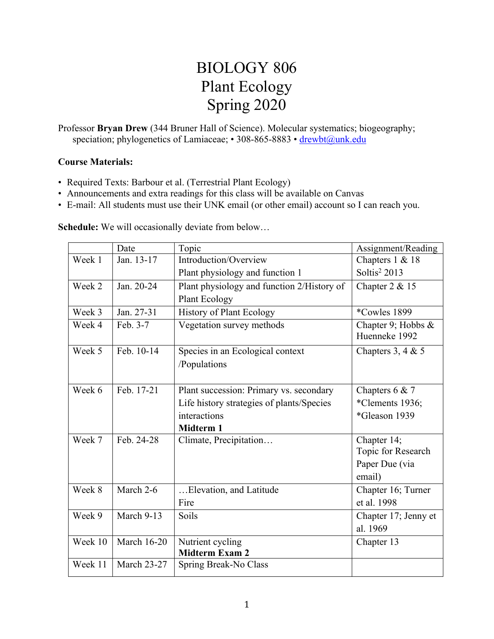# BIOLOGY 806 Plant Ecology Spring 2020

Professor **Bryan Drew** (344 Bruner Hall of Science). Molecular systematics; biogeography; speciation; phylogenetics of Lamiaceae; • 308-865-8883 • drewbt@unk.edu

### **Course Materials:**

- Required Texts: Barbour et al. (Terrestrial Plant Ecology)
- Announcements and extra readings for this class will be available on Canvas
- E-mail: All students must use their UNK email (or other email) account so I can reach you.

**Schedule:** We will occasionally deviate from below…

|         | Date               | Topic                                      | Assignment/Reading       |  |
|---------|--------------------|--------------------------------------------|--------------------------|--|
| Week 1  | Jan. 13-17         | Introduction/Overview                      | Chapters 1 & 18          |  |
|         |                    | Plant physiology and function 1            | Soltis <sup>2</sup> 2013 |  |
| Week 2  | Jan. 20-24         | Plant physiology and function 2/History of | Chapter 2 & 15           |  |
|         |                    | <b>Plant Ecology</b>                       |                          |  |
| Week 3  | Jan. 27-31         | <b>History of Plant Ecology</b>            | *Cowles 1899             |  |
| Week 4  | Feb. 3-7           | Vegetation survey methods                  | Chapter 9; Hobbs &       |  |
|         |                    |                                            | Huenneke 1992            |  |
| Week 5  | Feb. 10-14         | Species in an Ecological context           | Chapters $3, 4 & 5$      |  |
|         |                    | /Populations                               |                          |  |
|         |                    |                                            |                          |  |
| Week 6  | Feb. 17-21         | Plant succession: Primary vs. secondary    | Chapters $6 & 7$         |  |
|         |                    | Life history strategies of plants/Species  | *Clements 1936;          |  |
|         |                    | interactions                               | *Gleason 1939            |  |
|         |                    | Midterm 1                                  |                          |  |
| Week 7  | Feb. 24-28         | Climate, Precipitation                     | Chapter 14;              |  |
|         |                    |                                            | Topic for Research       |  |
|         |                    |                                            | Paper Due (via           |  |
|         |                    |                                            | email)                   |  |
| Week 8  | March 2-6          | Elevation, and Latitude                    | Chapter 16; Turner       |  |
|         |                    | Fire                                       | et al. 1998              |  |
| Week 9  | March 9-13         | Soils                                      | Chapter 17; Jenny et     |  |
|         |                    |                                            | al. 1969                 |  |
| Week 10 | <b>March 16-20</b> | Nutrient cycling                           | Chapter 13               |  |
|         |                    | <b>Midterm Exam 2</b>                      |                          |  |
| Week 11 | <b>March 23-27</b> | Spring Break-No Class                      |                          |  |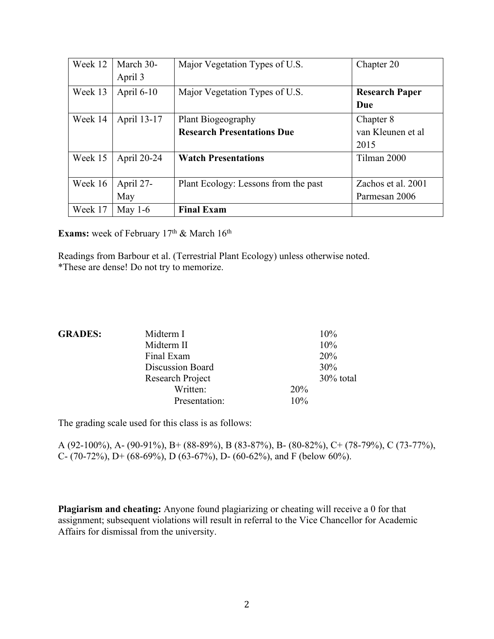| Week 12 | March 30-   | Major Vegetation Types of U.S.       | Chapter 20            |  |
|---------|-------------|--------------------------------------|-----------------------|--|
|         | April 3     |                                      |                       |  |
| Week 13 | April 6-10  | Major Vegetation Types of U.S.       | <b>Research Paper</b> |  |
|         |             |                                      | Due                   |  |
| Week 14 | April 13-17 | Plant Biogeography                   | Chapter 8             |  |
|         |             | <b>Research Presentations Due</b>    | van Kleunen et al     |  |
|         |             |                                      | 2015                  |  |
| Week 15 | April 20-24 | <b>Watch Presentations</b>           | Tilman 2000           |  |
|         |             |                                      |                       |  |
| Week 16 | April 27-   | Plant Ecology: Lessons from the past | Zachos et al. 2001    |  |
|         | May         |                                      | Parmesan 2006         |  |
| Week 17 | May 1-6     | <b>Final Exam</b>                    |                       |  |

**Exams:** week of February 17<sup>th</sup> & March 16<sup>th</sup>

Readings from Barbour et al. (Terrestrial Plant Ecology) unless otherwise noted. \*These are dense! Do not try to memorize.

| Midterm I        |     | 10%          |
|------------------|-----|--------------|
| Midterm II       |     | 10%          |
| Final Exam       |     | 20%          |
| Discussion Board |     | 30%          |
| Research Project |     | $30\%$ total |
| Written:         | 20% |              |
| Presentation:    | 10% |              |
|                  |     |              |

The grading scale used for this class is as follows:

A (92-100%), A- (90-91%), B+ (88-89%), B (83-87%), B- (80-82%), C+ (78-79%), C (73-77%), C- (70-72%), D+ (68-69%), D (63-67%), D- (60-62%), and F (below 60%).

**Plagiarism and cheating:** Anyone found plagiarizing or cheating will receive a 0 for that assignment; subsequent violations will result in referral to the Vice Chancellor for Academic Affairs for dismissal from the university.